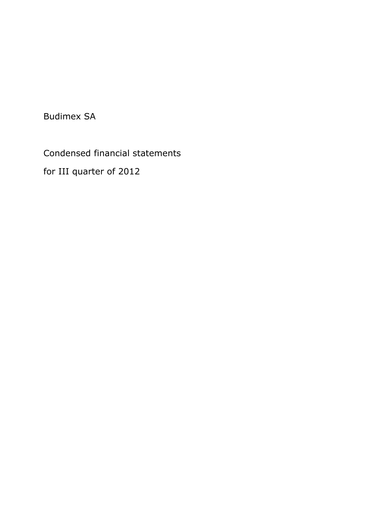Budimex SA

Condensed financial statements

for III quarter of 2012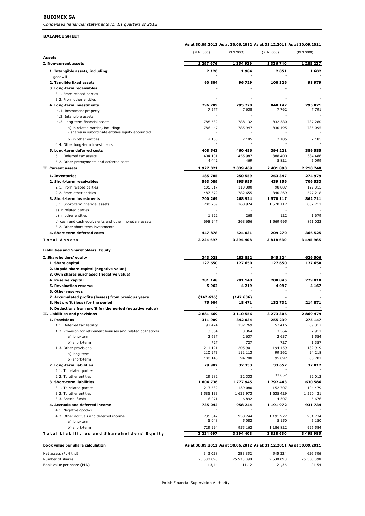#### **BALANCE SHEET**

|                                                               | As at 30.09.2012 As at 30.06.2012 As at 31.12.2011 As at 30.09.2011 |                          |            |            |
|---------------------------------------------------------------|---------------------------------------------------------------------|--------------------------|------------|------------|
| Assets                                                        | (PLN '000)                                                          | (PLN '000)               | (PLN '000) | (PLN '000) |
| I. Non-current assets                                         | 1 297 676                                                           | 1 354 939                | 1 336 740  | 1 285 237  |
| 1. Intangible assets, including:                              | 2 1 2 0                                                             | 1984                     | 2051       | 1602       |
| - goodwill                                                    |                                                                     |                          |            |            |
| 2. Tangible fixed assets                                      | 90 804                                                              | 96 729                   | 100 326    | 98 979     |
| 3. Long-term receivables                                      |                                                                     |                          |            |            |
| 3.1. From related parties<br>3.2. From other entities         |                                                                     |                          |            |            |
| 4. Long-term investments                                      | 796 209                                                             | 795 770                  | 840 142    | 795 071    |
| 4.1. Investment property                                      | 7577                                                                | 7638                     | 7762       | 7 791      |
| 4.2. Intangible assets                                        |                                                                     |                          |            |            |
| 4.3. Long-term financial assets                               | 788 632                                                             | 788 132                  | 832 380    | 787 280    |
| a) in related parties, including:                             | 786 447                                                             | 785 947                  | 830 195    | 785 095    |
| - shares in subordinate entities equity accounted             |                                                                     |                          |            |            |
| b) in other entities                                          | 2 1 8 5                                                             | 2 1 8 5                  | 2 1 8 5    | 2 1 8 5    |
| 4.4. Other long-term investments                              |                                                                     |                          |            |            |
| 5. Long-term deferred costs                                   | 408 543                                                             | 460 456                  | 394 221    | 389 585    |
| 5.1. Deferred tax assets                                      | 404 101                                                             | 455 987                  | 388 400    | 384 486    |
| 5.2. Other prepayments and deferred costs                     | 4 4 4 2                                                             | 4 4 6 9                  | 5821       | 5 0 9 9    |
| II. Current assets                                            | 1927021                                                             | 2 039 469                | 2 481 890  | 2 210 748  |
| 1. Inventories                                                | 185 785                                                             | 250 559                  | 263 347    | 274 979    |
| 2. Short-term receivables                                     | 593 089                                                             | 895 955                  | 439 156    | 706 533    |
| 2.1. From related parties                                     | 105 517                                                             | 113 300                  | 98 887     | 129 315    |
| 2.2. From other entities                                      | 487 572                                                             | 782 655                  | 340 269    | 577 218    |
| 3. Short-term investments                                     | 700 269                                                             | 268 924                  | 1 570 117  | 862711     |
| 3.1. Short-term financial assets                              | 700 269                                                             | 268 924                  | 1 570 117  | 862 711    |
| a) in related parties                                         |                                                                     |                          |            |            |
| b) in other entities                                          | 1 3 2 2                                                             | 268                      | 122        | 1 679      |
| c) cash and cash equivalents and other monetary assets        | 698 947                                                             | 268 656                  | 1 569 995  | 861 032    |
| 3.2. Other short-term investments                             |                                                                     |                          |            |            |
| 4. Short-term deferred costs                                  | 447878                                                              | 624 031                  | 209 270    | 366 525    |
| <b>Total Assets</b>                                           | 3 2 2 4 6 9 7                                                       | 3 394 408                | 3818630    | 3 495 985  |
| <b>Liabilities and Shareholders' Equity</b>                   |                                                                     |                          |            |            |
| I. Shareholders' equity                                       | 343 028                                                             | 283 852                  | 545 324    | 626 506    |
| 1. Share capital                                              | 127 650                                                             | 127 650                  | 127 650    | 127 650    |
| 2. Unpaid share capital (negative value)                      |                                                                     |                          |            |            |
| 3. Own shares purchased (negative value)                      |                                                                     | $\overline{\phantom{a}}$ |            |            |
| 4. Reserve capital                                            | 281 148                                                             | 281 148                  | 280 845    | 279818     |
| 5. Revaluation reserve                                        | 5962                                                                | 4 219                    | 4 097      | 4 1 6 7    |
| 6. Other reserves                                             |                                                                     |                          |            |            |
| 7. Accumulated profits (losses) from previous years           | (147636)                                                            | (147636)                 |            |            |
| 8. Net profit (loss) for the period                           | 75 904                                                              | 18 471                   | 132732     | 214871     |
| 9. Deductions from profit for the period (negative value)     |                                                                     |                          |            |            |
| II. Liabilities and provisions                                | 2881669                                                             | 3 110 556                | 3 273 306  | 2 869 479  |
| 1. Provisions                                                 | 311 909                                                             | 342 034                  | 255 239    | 275 147    |
| 1.1. Deferred tax liability                                   | 97 424                                                              | 132 769                  | 57 416     | 89 317     |
| 1.2. Provision for retirement bonuses and related obligations | 3 3 6 4                                                             | 3 3 6 4                  | 3 3 6 4    | 2 9 1 1    |
| a) long-term                                                  | 2 6 3 7                                                             | 2 6 3 7                  | 2 6 3 7    | 1 5 5 4    |
| b) short-term                                                 | 727                                                                 | 727                      | 727        | 1 3 5 7    |
| 1.3. Other provisions                                         | 211 121                                                             | 205 901                  | 194 459    | 182 919    |
| a) long-term                                                  | 110 973                                                             | 111 113                  | 99 362     | 94 218     |
| b) short-term                                                 | 100 148                                                             | 94 788                   | 95 097     | 88 701     |
| 2. Long-term liabilities                                      | 29 982                                                              | 32 333                   | 33 652     | 32 012     |
| 2.1. To related parties                                       |                                                                     |                          |            |            |
| 2.2. To other entities                                        | 29 982                                                              | 32 333                   | 33 652     | 32 012     |
| 3. Short-term liabilities                                     | 1804736                                                             | 1777945                  | 1792443    | 1 630 586  |
| 3.1. To related parties                                       | 213 532                                                             | 139 080                  | 152 707    | 104 479    |
| 3.2. To other entities                                        | 1 585 133                                                           | 1631973                  | 1 635 429  | 1 520 431  |
| 3.3. Special funds                                            | 6 0 7 1                                                             | 6892                     | 4 307      | 5 6 7 6    |
| 4. Accruals and deferred income                               | 735 042                                                             | 958 244                  | 1 191 972  | 931 734    |
| 4.1. Negative goodwill                                        |                                                                     |                          |            |            |
| 4.2. Other accruals and deferred income                       | 735 042                                                             | 958 244                  | 1 191 972  | 931 734    |
| a) long-term                                                  | 5 0 4 8                                                             | 5 0 8 2                  | 5 1 5 0    | 5 1 5 0    |
| b) short-term                                                 | 729 994                                                             | 953 162                  | 1 186 822  | 926 584    |
| Total Liabilities and Shareholders' Equity                    | 3 2 2 4 6 9 7                                                       | 3 394 408                | 3818630    | 3 495 985  |
|                                                               |                                                                     |                          |            |            |

| Book value per share calculation | As at 30.09.2012 As at 30.06.2012 As at 31.12.2011 As at 30.09.2011 |            |           |            |
|----------------------------------|---------------------------------------------------------------------|------------|-----------|------------|
| Net assets (PLN thd)             | 343 028                                                             | 283852     | 545 324   | 626 506    |
| Number of shares                 | 25 530 098                                                          | 25 530 098 | 2 530 098 | 25 530 098 |
| Book value per share (PLN)       | 13.44                                                               | 11.12      | 21.36     | 24.54      |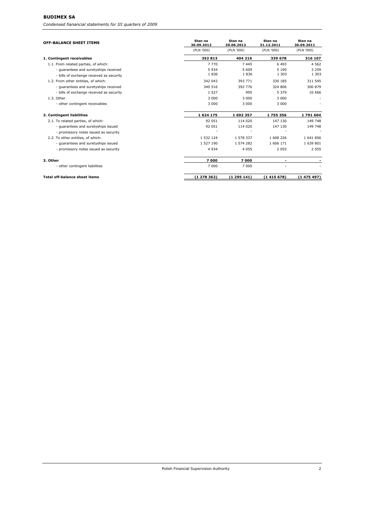## **BUDIMEX SA**

*Condensed fianancial statements for III quarters of 2009*

| <b>OFF-BALANCE SHEET ITEMS</b>           | Stan na<br>30.09.2012 | Stan na<br>30.06.2012 | Stan na<br>31.12.2011 | Stan na<br>30.09.2011 |
|------------------------------------------|-----------------------|-----------------------|-----------------------|-----------------------|
|                                          | (PLN '000)            | (PLN '000)            | (PLN '000)            | (PLN '000)            |
| 1. Contingent receivables                | 352 813               | 404 216               | 339 678               | 316 107               |
| 1.1. From related parties, of which:     | 7 7 7 0               | 7445                  | 6 4 9 3               | 4 5 6 2               |
| - quarantees and suretyships received    | 5 9 3 4               | 5609                  | 5 1 9 0               | 3 2 5 9               |
| - bills of exchange received as security | 1836                  | 1836                  | 1 3 0 3               | 1 3 0 3               |
| 1.2. From other entities, of which:      | 342 043               | 393 771               | 330 185               | 311 545               |
| - quarantees and suretyships received    | 340 516               | 392 776               | 324 806               | 300 879               |
| - bills of exchange received as security | 1 5 2 7               | 995                   | 5 3 7 9               | 10 666                |
| 1.3. Other                               | 3 0 0 0               | 3 0 0 0               | 3 0 0 0               |                       |
| - other contingent receivables           | 3 0 0 0               | 3 0 0 0               | 3 0 0 0               |                       |
| 2. Contingent liabilities                | 1624175               | 1692357               | 1755356               | 1791604               |
| 2.1. To related parties, of which:       | 92 051                | 114 020               | 147 130               | 149 748               |
| - quarantees and suretyships issued      | 92 051                | 114 020               | 147 130               | 149 748               |
| - promissory notes issued as security    |                       |                       |                       |                       |
| 2.2. To other entities, of which:        | 1 532 124             | 1 578 337             | 1 608 226             | 1641856               |
| - quarantees and suretyships issued      | 1 527 190             | 1 574 282             | 1 606 171             | 1 639 801             |
| - promissory notes issued as security    | 4 9 3 4               | 4 0 5 5               | 2 0 5 5               | 2 0 5 5               |
| 3. Other                                 | 7000                  | 7000                  |                       |                       |
| - other contingent liabilities           | 7 0 0 0               | 7 0 0 0               |                       |                       |
| <b>Total off-balance sheet items</b>     | (1278362)             | (1295141)             | (1415678)             | (1475497)             |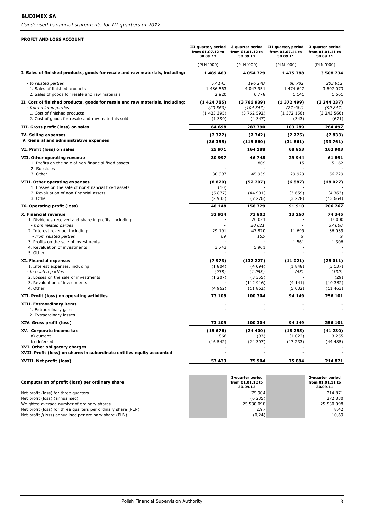#### **PROFIT AND LOSS ACCOUNT**

|                                                                                                         | III quarter, period<br>from 01.07.12 to<br>30.09.12 | 3-quarter period<br>from 01.01.12 to<br>30.09.12 | III quarter, period<br>from 01.07.11 to<br>30.09.11 | 3-quarter period<br>from 01.01.11 to<br>30.09.11 |
|---------------------------------------------------------------------------------------------------------|-----------------------------------------------------|--------------------------------------------------|-----------------------------------------------------|--------------------------------------------------|
|                                                                                                         | (PLN '000)                                          | (PLN '000)                                       | (PLN '000)                                          | (PLN '000)                                       |
| I. Sales of finished products, goods for resale and raw materials, including:                           | 1 489 483                                           | 4 0 54 7 29                                      | 1 475 788                                           | 3 508 734                                        |
| - to related parties                                                                                    | 77 145                                              | 196 240                                          | 80 782                                              | 203 912                                          |
| 1. Sales of finished products                                                                           | 1 486 563                                           | 4 047 951                                        | 1 474 647                                           | 3 507 073                                        |
| 2. Sales of goods for resale and raw materials                                                          | 2920                                                | 6 7 7 8                                          | 1 1 4 1                                             | 1 6 6 1                                          |
| II. Cost of finished products, goods for resale and raw materials, including:                           | (1424785)                                           | (3766939)                                        | (1372499)                                           | (3244237)                                        |
| - from related parties                                                                                  | (23 560)                                            | (104 347)                                        | (27484)                                             | (90847)                                          |
| 1. Cost of finished products<br>2. Cost of goods for resale and raw materials sold                      | (1423395)<br>(1390)                                 | (3762592)<br>(4347)                              | (1372156)<br>(343)                                  | (3243566)<br>(671)                               |
| III. Gross profit (loss) on sales                                                                       | 64 698                                              | 287 790                                          | 103 289                                             | 264 497                                          |
| IV. Selling expenses                                                                                    | (2372)                                              | (7742)                                           | (2775)                                              | (7833)                                           |
| V. General and administrative expenses                                                                  | (36355)                                             | (115 860)                                        | (31661)                                             | (93761)                                          |
| VI. Profit (loss) on sales                                                                              | 25 971                                              | 164 188                                          | 68853                                               | 162 903                                          |
| VII. Other operating revenue                                                                            | 30 997                                              | 46 748                                           | 29 944                                              | 61891                                            |
| 1. Profits on the sale of non-financial fixed assets                                                    |                                                     | 809                                              | 15                                                  | 5 1 6 2                                          |
| 2. Subsidies                                                                                            |                                                     |                                                  |                                                     |                                                  |
| 3. Other                                                                                                | 30 997                                              | 45 939                                           | 29 929                                              | 56 729                                           |
| VIII. Other operating expenses                                                                          | (8820)                                              | (52 207)                                         | (6887)                                              | (18027)                                          |
| 1. Losses on the sale of non-financial fixed assets<br>2. Revaluation of non-financial assets           | (10)<br>(5877)                                      | (44931)                                          | (3659)                                              | (4363)                                           |
| 3. Other                                                                                                | (2933)                                              | (7276)                                           | (3 228)                                             | (13664)                                          |
| IX. Operating profit (loss)                                                                             | 48 148                                              | 158 729                                          | 91910                                               | 206 767                                          |
| X. Financial revenue                                                                                    | 32934                                               | 73802                                            | 13 260                                              | 74 345                                           |
| 1. Dividends received and share in profits, including:                                                  |                                                     | 20 021                                           |                                                     | 37 000                                           |
| - from related parties                                                                                  |                                                     | 20 021                                           | $\sim$                                              | 37 000                                           |
| 2. Interest revenue, including:                                                                         | 29 191                                              | 47820                                            | 11 699                                              | 36 039                                           |
| - from related parties                                                                                  | 69                                                  | 165                                              | 9                                                   | 9                                                |
| 3. Profits on the sale of investments<br>4. Revaluation of investments                                  | 3 7 4 3                                             | 5 9 6 1                                          | 1 5 6 1                                             | 1 3 0 6                                          |
| 5. Other                                                                                                |                                                     |                                                  |                                                     |                                                  |
| <b>XI. Financial expenses</b>                                                                           | (7973)                                              | (132 227)                                        | (11021)                                             | (25011)                                          |
| 1. Interest expenses, including:                                                                        | (1804)                                              | (4094)                                           | (1848)                                              | (3137)                                           |
| - to related parties                                                                                    | (938)                                               | (1053)                                           | (45)                                                | (130)                                            |
| 2. Losses on the sale of investments                                                                    | (1 207)                                             | (3355)                                           |                                                     | (29)                                             |
| 3. Revaluation of investments                                                                           |                                                     | (112916)                                         | (4141)                                              | (10382)                                          |
| 4. Other                                                                                                | (4962)                                              | (11862)                                          | (5032)                                              | (11463)                                          |
| XII. Profit (loss) on operating activities                                                              | 73 109                                              | 100 304                                          | 94 149                                              | 256 101                                          |
| XIII. Extraordinary items<br>1. Extraordinary gains                                                     |                                                     |                                                  |                                                     |                                                  |
| 2. Extraordinary losses                                                                                 |                                                     |                                                  |                                                     |                                                  |
| XIV. Gross profit (loss)                                                                                | 73 109                                              | 100 304                                          | 94 149                                              | 256 101                                          |
| XV. Corporate income tax                                                                                | (15676)                                             | (24400)                                          | (18255)                                             | (41230)                                          |
| a) current                                                                                              | 866                                                 | (93)                                             | (1022)                                              | 3 2 5 5                                          |
| b) deferred                                                                                             | (16542)                                             | (24307)                                          | (17233)                                             | (44485)                                          |
| XVI. Other obligatory charges<br>XVII. Profit (loss) on shares in subordinate entities equity accounted |                                                     |                                                  |                                                     |                                                  |
|                                                                                                         |                                                     |                                                  |                                                     |                                                  |
| XVIII. Net profit (loss)                                                                                | 57 433                                              | 75 904                                           | 75894                                               | 214 871                                          |

| Computation of profit (loss) per ordinary share               | 3-quarter period<br>from 01.01.12 to<br>30.09.12 | 3-quarter period<br>from 01.01.11 to<br>30.09.11 |
|---------------------------------------------------------------|--------------------------------------------------|--------------------------------------------------|
| Net profit (loss) for three quarters                          | 75 904                                           | 214 871                                          |
| Net profit (loss) (annualised)                                | (6235)                                           | 272 830                                          |
| Weighted average number of ordinary shares                    | 25 530 098                                       | 25 530 098                                       |
| Net profit (loss) for three quarters per ordinary share (PLN) | 2.97                                             | 8.42                                             |
| Net profit /(loss) annualised per ordinary share (PLN)        | (0, 24)                                          | 10.69                                            |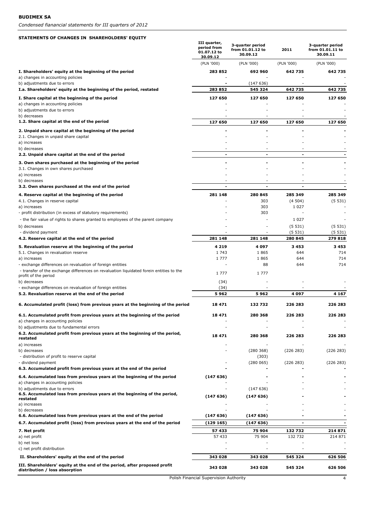#### **STATEMENTS OF CHANGES IN SHAREHOLDERS' EQUITY**

|                                                                                                                 | III quarter,<br>period from<br>01.07.12 to<br>30.09.12 | 3-quarter period<br>from 01.01.12 to<br>30.09.12 | 2011              | 3-quarter period<br>from 01.01.11 to<br>30.09.11 |
|-----------------------------------------------------------------------------------------------------------------|--------------------------------------------------------|--------------------------------------------------|-------------------|--------------------------------------------------|
|                                                                                                                 | (PLN '000)                                             | (PLN '000)                                       | (PLN '000)        | (PLN '000)                                       |
| I. Shareholders' equity at the beginning of the period<br>a) changes in accounting policies                     | 283 852                                                | 692 960                                          | 642735            | 642 735                                          |
| b) adjustments due to errors                                                                                    |                                                        | (147636)                                         |                   |                                                  |
| I.a. Shareholders' equity at the beginning of the period, restated                                              | 283 852                                                | 545 324                                          | 642 735           | 642 735                                          |
| I. Share capital at the beginning of the period<br>a) changes in accounting policies                            | 127 650                                                | 127 650                                          | 127 650           | 127 650                                          |
| b) adjustments due to errors                                                                                    |                                                        |                                                  |                   |                                                  |
| b) decreases                                                                                                    |                                                        |                                                  |                   |                                                  |
| 1.2. Share capital at the end of the period                                                                     | 127 650                                                | 127 650                                          | 127 650           | 127 650                                          |
| 2. Unpaid share capital at the beginning of the period<br>2.1. Changes in unpaid share capital                  |                                                        |                                                  |                   |                                                  |
| a) increases                                                                                                    |                                                        |                                                  |                   |                                                  |
| b) decreases                                                                                                    |                                                        |                                                  |                   |                                                  |
| 2.2. Unpaid share capital at the end of the period                                                              | ۰                                                      | $\overline{\phantom{a}}$                         | $\blacksquare$    |                                                  |
| 3. Own shares purchased at the beginning of the period<br>3.1. Changes in own shares purchased                  |                                                        |                                                  |                   |                                                  |
| a) increases                                                                                                    |                                                        |                                                  |                   |                                                  |
| b) decreases                                                                                                    |                                                        |                                                  |                   |                                                  |
| 3.2. Own shares purchased at the end of the period                                                              |                                                        |                                                  |                   |                                                  |
| 4. Reserve capital at the beginning of the period                                                               | 281 148                                                | 280 845                                          | 285 349           | 285 349                                          |
| 4.1. Changes in reserve capital<br>a) increases                                                                 |                                                        | 303<br>303                                       | (4504)<br>1 0 2 7 | (5531)                                           |
| - profit distribution (in excess of statutory requirements)                                                     |                                                        | 303                                              |                   |                                                  |
| - the fair value of rights to shares granted to employees of the parent company                                 |                                                        |                                                  | 1 0 2 7           |                                                  |
| b) decreases                                                                                                    |                                                        |                                                  | (5531)            | (5531)                                           |
| - dividend payment<br>4.2. Reserve capital at the end of the period                                             | 281 148                                                | 281 148                                          | (5531)<br>280 845 | (5531)<br>279818                                 |
| 5. Revaluation reserve at the beginning of the period                                                           | 4 2 1 9                                                | 4097                                             | 3453              | 3453                                             |
| 5.1. Changes in revaluation reserve                                                                             | 1743                                                   | 1865                                             | 644               | 714                                              |
| a) increases                                                                                                    | 1 7 7 7                                                | 1865                                             | 644               | 714                                              |
| - exchange differences on revaluation of foreign entities                                                       |                                                        | 88                                               | 644               | 714                                              |
| - transfer of the exchange differences on revaluation liquidated forein entities to the<br>profit of the period | 1 7 7 7                                                | 1 7 7 7                                          |                   |                                                  |
| b) decreases                                                                                                    | (34)                                                   |                                                  |                   |                                                  |
| - exchange differences on revaluation of foreign entities<br>5.2. Revaluation reserve at the end of the period  | (34)<br>5962                                           | 5962                                             | 4097              | 4 1 6 7                                          |
|                                                                                                                 |                                                        |                                                  |                   |                                                  |
| 6. Accumulated profit (loss) from previous years at the beginning of the period                                 | 18471                                                  | 132732                                           | 226 283           | 226 283                                          |
| 6.1. Accumulated profit from previous years at the beginning of the period<br>a) changes in accounting policies | 18 471                                                 | 280 368                                          | 226 283           | 226 283                                          |
| b) adjustments due to fundamental errors                                                                        |                                                        |                                                  |                   |                                                  |
| 6.2. Accumulated profit from previous years at the beginning of the period,                                     | 18 471                                                 | 280 368                                          | 226 283           | 226 283                                          |
| restated<br>a) increases                                                                                        |                                                        |                                                  |                   |                                                  |
| b) decreases                                                                                                    |                                                        | (280 368)                                        | (226 283)         | (226 283)                                        |
| - distribution of profit to reserve capital                                                                     |                                                        | (303)                                            |                   |                                                  |
| - dividend payment<br>6.3. Accumulated profit from previous years at the end of the period                      |                                                        | (280065)                                         | (226 283)         | (226 283)                                        |
| 6.4. Accumulated loss from previous years at the beginning of the period                                        | (147636)                                               |                                                  |                   |                                                  |
| a) changes in accounting policies                                                                               |                                                        |                                                  |                   |                                                  |
| b) adjustments due to errors                                                                                    |                                                        | (147636)                                         |                   |                                                  |
| 6.5. Accumulated loss from previous years at the beginning of the period,<br>restated                           | (147636)                                               | (147636)                                         |                   |                                                  |
| a) increases                                                                                                    |                                                        |                                                  |                   |                                                  |
| b) decreases<br>6.6. Accumulated loss from previous years at the end of the period                              | (147636)                                               | (147636)                                         |                   |                                                  |
| 6.7. Accumulated profit (loss) from previous years at the end of the period                                     | (129 165)                                              | (147636)                                         |                   |                                                  |
| 7. Net profit                                                                                                   | 57 433                                                 | 75 904                                           | 132732            | 214 871                                          |
| a) net profit                                                                                                   | 57 433                                                 | 75 904                                           | 132 732           | 214 871                                          |
| b) net loss                                                                                                     |                                                        |                                                  |                   |                                                  |
| c) net profit distribution                                                                                      |                                                        |                                                  |                   |                                                  |
| II. Shareholders' equity at the end of the period                                                               | 343 028                                                | 343 028                                          | 545 324           | 626 506                                          |
| III. Shareholders' equity at the end of the period, after proposed profit<br>distribution / loss absorption     | 343 028                                                | 343 028                                          | 545 324           | 626 506                                          |

Polish Financial Supervision Authority 4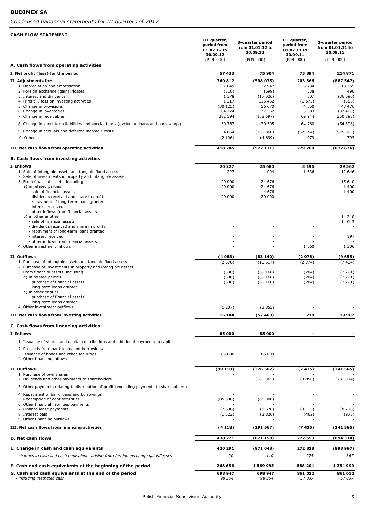| <b>CASH FLOW STATEMENT</b>                                                                                                 |                                                        |                                                  |                                                        |                                                  |
|----------------------------------------------------------------------------------------------------------------------------|--------------------------------------------------------|--------------------------------------------------|--------------------------------------------------------|--------------------------------------------------|
|                                                                                                                            | III quarter,<br>period from<br>01.07.12 to<br>30.09.12 | 3-quarter period<br>from 01.01.12 to<br>30.09.12 | III quarter,<br>period from<br>01.07.11 to<br>30.09.11 | 3-quarter period<br>from 01.01.11 to<br>30.09.11 |
| A. Cash flows from operating activities                                                                                    | (PLN '000)                                             | (PLN '000)                                       | (PLN '000)                                             | (PLN '000)                                       |
| I. Net profit (loss) for the period                                                                                        | 57 433                                                 | 75 904                                           | 75894                                                  | 214 871                                          |
|                                                                                                                            | 360 812                                                |                                                  | 203 866                                                |                                                  |
| II. Adjustments for:<br>1. Depreciation and amortisation                                                                   | 7 6 4 9                                                | (598 035)<br>22 947                              | 6 7 3 4                                                | (887547)<br>18 755                               |
| 2. Foreign exchange (gains)/losses                                                                                         | (310)                                                  | (699)                                            | 538                                                    | 496                                              |
| 3. Interest and dividends<br>4. (Profit) / loss on investing activities                                                    | 1 5 7 8<br>1 2 1 7                                     | (17026)<br>115 462                               | 507<br>(1575)                                          | (36090)<br>(356)                                 |
| 5. Change in provisions                                                                                                    | (30125)                                                | 56 670                                           | 4 5 5 0                                                | 43 476                                           |
| 6. Change in inventories<br>7. Change in receivables                                                                       | 64 774<br>282 594                                      | 77 562<br>(158697)                               | 5 5 8 3<br>69 944                                      | (37 400)                                         |
|                                                                                                                            |                                                        |                                                  |                                                        | (250 898)                                        |
| 8. Change in short-term liabilities and special funds (excluding loans and borrowings)                                     | 30 767                                                 | 20 30 5                                          | 164 760                                                | (54398)                                          |
| 9. Change in accruals and deferred income / costs                                                                          | 4 8 6 4                                                | (709 860)                                        | (52154)                                                | (575925)                                         |
| 10. Other                                                                                                                  | (2196)                                                 | (4699)                                           | 4 9 7 9                                                | 4 7 9 3                                          |
| III. Net cash flows from operating activities                                                                              | 418 245                                                | (522131)                                         | 279 760                                                | (672 676)                                        |
| <b>B. Cash flows from investing activities</b>                                                                             |                                                        |                                                  |                                                        |                                                  |
| I. Inflows                                                                                                                 | 20 227                                                 | 25 680                                           | 3 1 9 6                                                | 29 562                                           |
| 1. Sale of intangible assets and tangible fixed assets                                                                     | 227                                                    | 1 0 0 4                                          | 1 6 3 6                                                | 12 646                                           |
| 2. Sale of investments in property and intangible assets<br>3. From financial assets, including:                           | 20 000                                                 | 24 676                                           | ٠                                                      | 15 610                                           |
| a) in related parties                                                                                                      | 20 000                                                 | 24 676                                           |                                                        | 1 400                                            |
| - sale of financial assets<br>- dividends received and share in profits                                                    | 20 000                                                 | 4 6 7 6<br>20 000                                |                                                        | 1 400                                            |
| - repayment of long-term loans granted                                                                                     |                                                        |                                                  |                                                        |                                                  |
| - interest received                                                                                                        |                                                        |                                                  |                                                        |                                                  |
| - other inflows from financial assets<br>b) in other entities                                                              |                                                        |                                                  |                                                        | 14 210                                           |
| - sale of financial assets                                                                                                 |                                                        |                                                  |                                                        | 14 013                                           |
| - dividends received and share in profits                                                                                  |                                                        |                                                  |                                                        |                                                  |
| - repayment of long-term loans granted<br>- interest received                                                              |                                                        |                                                  |                                                        | 197                                              |
| - other inflows from financial assets                                                                                      |                                                        |                                                  |                                                        |                                                  |
| 4. Other investment inflows                                                                                                |                                                        |                                                  | 1 5 6 0                                                | 1 3 0 6                                          |
| II. Outflows                                                                                                               | (4083)                                                 | (83 140)                                         | (2978)                                                 | (9655)                                           |
| 1. Purchase of intangible assets and tangible fixed assets<br>2. Purchase of investments in property and intangible assets | (2376)                                                 | (10617)                                          | (2774)                                                 | (7434)                                           |
| 3. From financial assets, including:                                                                                       | (500)                                                  | (69168)                                          | (204)                                                  | (2 221)                                          |
| a) in related parties<br>- purchase of financial assets                                                                    | (500)<br>(500)                                         | (69168)<br>(69168)                               | (204)<br>(204)                                         | (2 221)<br>(2 221)                               |
| - long-term loans granted                                                                                                  |                                                        |                                                  |                                                        |                                                  |
| b) in other entities                                                                                                       |                                                        |                                                  |                                                        |                                                  |
| - purchase of financial assets<br>- long-term loans granted                                                                |                                                        |                                                  |                                                        |                                                  |
| 4. Other investment outflows                                                                                               | (1 207)                                                | (3355)                                           |                                                        |                                                  |
| III. Net cash flows from investing activities                                                                              | 16 144                                                 | (57460)                                          | 218                                                    | 19 907                                           |
| C. Cash flows from financing activities                                                                                    |                                                        |                                                  |                                                        |                                                  |
| I. Inflows                                                                                                                 | 85 000                                                 | 85 000                                           | $\overline{\phantom{a}}$                               |                                                  |
| 1. Issuance of shares and capital contributions and additional payments to capital                                         |                                                        |                                                  |                                                        |                                                  |
| 2. Proceeds from bank loans and borrowings                                                                                 |                                                        |                                                  |                                                        |                                                  |
| 3. Issuance of bonds and other securities                                                                                  | 85 000                                                 | 85 000                                           |                                                        |                                                  |
| 4. Other financing inflows                                                                                                 |                                                        |                                                  |                                                        |                                                  |
| II. Outflows                                                                                                               | (89118)                                                | (376567)                                         | (7425)                                                 | (241565)                                         |
| 1. Purchase of own shares<br>2. Dividends and other payments to shareholders                                               |                                                        |                                                  |                                                        |                                                  |
|                                                                                                                            |                                                        | (280065)                                         | (3850)                                                 | (231 814)                                        |
| 3. Other payments relating to distribution of profit (excluding payments to shareholders)                                  |                                                        |                                                  |                                                        |                                                  |
| 4. Repayment of bank loans and borrowings<br>5. Redemption of debt securities                                              | (85000)                                                | (85000)                                          |                                                        |                                                  |
| 6. Other financial liabilities payments                                                                                    |                                                        |                                                  |                                                        |                                                  |
| 7. Finance lease payments                                                                                                  | (2596)                                                 | (8676)                                           | (3113)                                                 | (8778)                                           |
| 8. Interest paid<br>9. Other financing outflows                                                                            | (1522)                                                 | (2826)                                           | (462)                                                  | (973)                                            |
| III. Net cash flows from financing activities                                                                              | (4118)                                                 | (291567)                                         | (7425)                                                 | (241 565)                                        |
| D. Net cash flows                                                                                                          | 430 271                                                | (871158)                                         | 272 553                                                | (894 334)                                        |
|                                                                                                                            |                                                        |                                                  |                                                        |                                                  |
| E. Change in cash and cash equivalents                                                                                     | 430 291                                                | (871048)                                         | 272828                                                 | (893967)                                         |
| - changes in cash and cash equivalents arising from foreign exchange gains/losses                                          | 20                                                     | <i>110</i>                                       | 275                                                    | 367                                              |
| F. Cash and cash equivalents at the beginning of the period                                                                | 268 656                                                | 1 569 995                                        | 588 204                                                | 1754999                                          |
| G. Cash and cash equivalents at the end of the period                                                                      | 698 947                                                | 698 947                                          | 861 032                                                | 861 032                                          |
| - including restricted cash                                                                                                | 98 354                                                 | 98 354                                           | 57 037                                                 | 57 037                                           |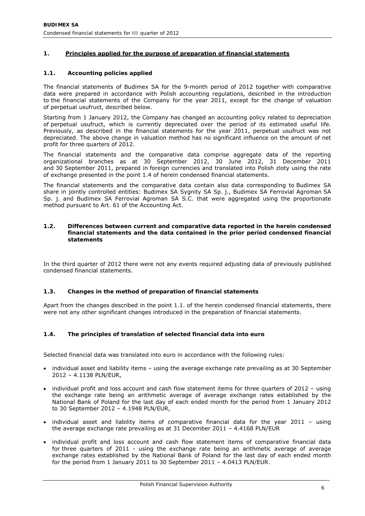# **1. Principles applied for the purpose of preparation of financial statements**

## **1.1. Accounting policies applied**

The financial statements of Budimex SA for the 9-month period of 2012 together with comparative data were prepared in accordance with Polish accounting regulations, described in the introduction to the financial statements of the Company for the year 2011, except for the change of valuation of perpetual usufruct, described below.

Starting from 1 January 2012, the Company has changed an accounting policy related to depreciation of perpetual usufruct, which is currently depreciated over the period of its estimated useful life. Previously, as described in the financial statements for the year 2011, perpetual usufruct was not depreciated. The above change in valuation method has no significant influence on the amount of net profit for three quarters of 2012.

The financial statements and the comparative data comprise aggregate data of the reporting organizational branches as at 30 September 2012, 30 June 2012, 31 December 2011 and 30 September 2011, prepared in foreign currencies and translated into Polish zloty using the rate of exchange presented in the point 1.4 of herein condensed financial statements.

The financial statements and the comparative data contain also data corresponding to Budimex SA share in jointly controlled entities: Budimex SA Sygnity SA Sp. j., Budimex SA Ferrovial Agroman SA Sp. j. and Budimex SA Ferrovial Agroman SA S.C. that were aggregated using the proportionate method pursuant to Art. 61 of the Accounting Act.

#### **1.2. Differences between current and comparative data reported in the herein condensed financial statements and the data contained in the prior period condensed financial statements**

In the third quarter of 2012 there were not any events required adjusting data of previously published condensed financial statements.

## **1.3. Changes in the method of preparation of financial statements**

Apart from the changes described in the point 1.1. of the herein condensed financial statements, there were not any other significant changes introduced in the preparation of financial statements.

# **1.4. The principles of translation of selected financial data into euro**

Selected financial data was translated into euro in accordance with the following rules:

- individual asset and liability items using the average exchange rate prevailing as at 30 September 2012 – 4.1138 PLN/EUR,
- individual profit and loss account and cash flow statement items for three quarters of 2012 using the exchange rate being an arithmetic average of average exchange rates established by the National Bank of Poland for the last day of each ended month for the period from 1 January 2012 to 30 September 2012 – 4.1948 PLN/EUR,
- individual asset and liability items of comparative financial data for the year  $2011 -$  using the average exchange rate prevailing as at 31 December 2011 – 4.4168 PLN/EUR
- individual profit and loss account and cash flow statement items of comparative financial data for three quarters of 2011 - using the exchange rate being an arithmetic average of average exchange rates established by the National Bank of Poland for the last day of each ended month for the period from 1 January 2011 to 30 September 2011 – 4.0413 PLN/EUR.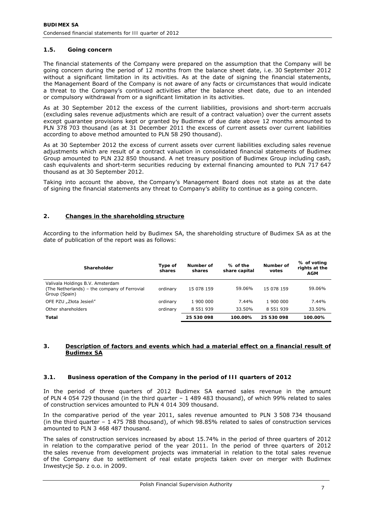# **1.5. Going concern**

The financial statements of the Company were prepared on the assumption that the Company will be going concern during the period of 12 months from the balance sheet date, i.e. 30 September 2012 without a significant limitation in its activities. As at the date of signing the financial statements, the Management Board of the Company is not aware of any facts or circumstances that would indicate a threat to the Company's continued activities after the balance sheet date, due to an intended or compulsory withdrawal from or a significant limitation in its activities.

As at 30 September 2012 the excess of the current liabilities, provisions and short-term accruals (excluding sales revenue adjustments which are result of a contract valuation) over the current assets except guarantee provisions kept or granted by Budimex of due date above 12 months amounted to PLN 378 703 thousand (as at 31 December 2011 the excess of current assets over current liabilities according to above method amounted to PLN 58 290 thousand).

As at 30 September 2012 the excess of current assets over current liabilities excluding sales revenue adjustments which are result of a contract valuation in consolidated financial statements of Budimex Group amounted to PLN 232 850 thousand. A net treasury position of Budimex Group including cash, cash equivalents and short-term securities reducing by external financing amounted to PLN 717 647 thousand as at 30 September 2012.

Taking into account the above, the Company's Management Board does not state as at the date of signing the financial statements any threat to Company's ability to continue as a going concern.

## **2. Changes in the shareholding structure**

According to the information held by Budimex SA, the shareholding structure of Budimex SA as at the date of publication of the report was as follows:

| Shareholder                                                                                       | Type of<br>shares | Number of<br>shares | % of the<br>share capital | Number of<br>votes | % of voting<br>rights at the<br><b>AGM</b> |
|---------------------------------------------------------------------------------------------------|-------------------|---------------------|---------------------------|--------------------|--------------------------------------------|
| Valivala Holdings B.V. Amsterdam<br>(The Netherlands) – the company of Ferrovial<br>Group (Spain) | ordinary          | 15 078 159          | 59.06%                    | 15 078 159         | 59.06%                                     |
| OFE PZU "Złota Jesień"                                                                            | ordinary          | 1 900 000           | 7.44%                     | 1 900 000          | 7.44%                                      |
| Other shareholders                                                                                | ordinary          | 8 5 5 1 9 3 9       | 33.50%                    | 8 5 5 1 9 3 9      | 33.50%                                     |
| Total                                                                                             |                   | 25 530 098          | 100.00%                   | 25 530 098         | 100.00%                                    |

## **3. Description of factors and events which had a material effect on a financial result of Budimex SA**

### **3.1. Business operation of the Company in the period of III quarters of 2012**

In the period of three quarters of 2012 Budimex SA earned sales revenue in the amount of PLN 4 054 729 thousand (in the third quarter – 1 489 483 thousand), of which 99% related to sales of construction services amounted to PLN 4 014 309 thousand.

In the comparative period of the year 2011, sales revenue amounted to PLN 3 508 734 thousand (in the third quarter – 1 475 788 thousand), of which 98.85% related to sales of construction services amounted to PLN 3 468 487 thousand.

The sales of construction services increased by about 15.74% in the period of three quarters of 2012 in relation to the comparative period of the year 2011. In the period of three quarters of 2012 the sales revenue from development projects was immaterial in relation to the total sales revenue of the Company due to settlement of real estate projects taken over on merger with Budimex Inwestycje Sp. z o.o. in 2009.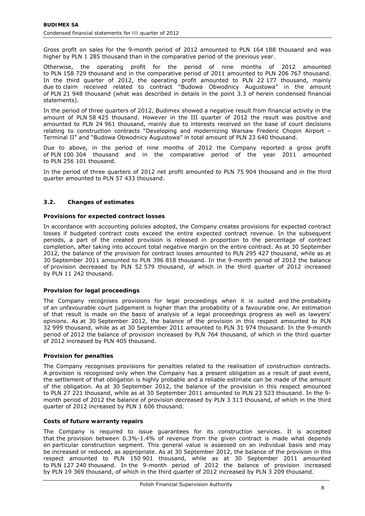Gross profit on sales for the 9-month period of 2012 amounted to PLN 164 188 thousand and was higher by PLN 1 285 thousand than in the comparative period of the previous year.

Otherwise, the operating profit for the period of nine months of 2012 amounted to PLN 158 729 thousand and in the comparative period of 2011 amounted to PLN 206 767 thousand. In the third quarter of 2012, the operating profit amounted to PLN 22 177 thousand, mainly due to claim received related to contract "Budowa Obwodnicy Augustowa" in the amount of PLN 21 948 thousand (what was described in details in the point 3.3 of herein condensed financial statements).

In the period of three quarters of 2012, Budimex showed a negative result from financial activity in the amount of PLN 58 425 thousand. However in the III quarter of 2012 the result was positive and amounted to PLN 24 961 thousand, mainly due to interests received on the base of court decisions relating to construction contracts "Developing and modernizing Warsaw Frederic Chopin Airport – Terminal II" and "Budowa Obwodnicy Augustowa" in total amount of PLN 23 640 thousand.

Due to above, in the period of nine months of 2012 the Company reported a gross profit of PLN 100 304 thousand and in the comparative period of the year 2011 amounted to PLN 256 101 thousand.

In the period of three quarters of 2012 net profit amounted to PLN 75 904 thousand and in the third quarter amounted to PLN 57 433 thousand.

# **3.2. Changes of estimates**

### *Provisions for expected contract losses*

In accordance with accounting policies adopted, the Company creates provisions for expected contract losses if budgeted contract costs exceed the entire expected contract revenue. In the subsequent periods, a part of the created provision is released in proportion to the percentage of contract completion, after taking into account total negative margin on the entire contract. As at 30 September 2012, the balance of the provision for contract losses amounted to PLN 295 427 thousand, while as at 30 September 2011 amounted to PLN 396 818 thousand. In the 9-month period of 2012 the balance of provision decreased by PLN 52 579 thousand, of which in the third quarter of 2012 increased by PLN 11 242 thousand.

# *Provision for legal proceedings*

The Company recognises provisions for legal proceedings when it is suited and the probability of an unfavourable court judgement is higher than the probability of a favourable one. An estimation of that result is made on the basis of analysis of a legal proceedings progress as well as lawyers' opinions. As at 30 September 2012, the balance of the provision in this respect amounted to PLN 32 999 thousand, while as at 30 September 2011 amounted to PLN 31 974 thousand. In the 9-month period of 2012 the balance of provision increased by PLN 764 thousand, of which in the third quarter of 2012 increased by PLN 405 thousand.

### *Provision for penalties*

The Company recognises provisions for penalties related to the realisation of construction contracts. A provision is recognised only when the Company has a present obligation as a result of past event, the settlement of that obligation is highly probable and a reliable estimate can be made of the amount of the obligation. As at 30 September 2012, the balance of the provision in this respect amounted to PLN 27 221 thousand, while as at 30 September 2011 amounted to PLN 23 523 thousand. In the 9 month period of 2012 the balance of provision decreased by PLN 3 313 thousand, of which in the third quarter of 2012 increased by PLN 1 606 thousand.

### *Costs of future warranty repairs*

The Company is required to issue guarantees for its construction services. It is accepted that the provision between 0.3%-1.4% of revenue from the given contract is made what depends on particular construction segment. This general value is assessed on an individual basis and may be increased or reduced, as appropriate. As at 30 September 2012, the balance of the provision in this respect amounted to PLN 150 901 thousand, while as at 30 September 2011 amounted to PLN 127 240 thousand. In the 9-month period of 2012 the balance of provision increased by PLN 19 369 thousand, of which in the third quarter of 2012 increased by PLN 3 209 thousand.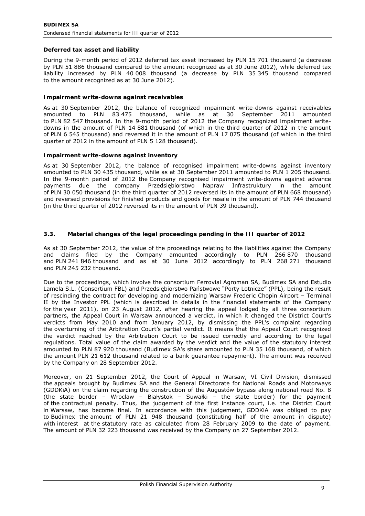# *Deferred tax asset and liability*

During the 9-month period of 2012 deferred tax asset increased by PLN 15 701 thousand (a decrease by PLN 51 886 thousand compared to the amount recognized as at 30 June 2012), while deferred tax liability increased by PLN 40 008 thousand (a decrease by PLN 35 345 thousand compared to the amount recognized as at 30 June 2012).

### *Impairment write-downs against receivables*

As at 30 September 2012, the balance of recognized impairment write-downs against receivables amounted to PLN 83 475 thousand, while as at 30 September 2011 amounted to PLN 82 547 thousand. In the 9-month period of 2012 the Company recognized impairment writedowns in the amount of PLN 14 881 thousand (of which in the third quarter of 2012 in the amount of PLN 6 545 thousand) and reversed it in the amount of PLN 17 075 thousand (of which in the third quarter of 2012 in the amount of PLN 5 128 thousand).

### *Impairment write-downs against inventory*

As at 30 September 2012, the balance of recognised impairment write-downs against inventory amounted to PLN 30 435 thousand, while as at 30 September 2011 amounted to PLN 1 205 thousand. In the 9-month period of 2012 the Company recognised impairment write-downs against advance payments due the company Przedsiębiorstwo Napraw Infrastruktury in the amount of PLN 30 050 thousand (in the third quarter of 2012 reversed its in the amount of PLN 668 thousand) and reversed provisions for finished products and goods for resale in the amount of PLN 744 thousand (in the third quarter of 2012 reversed its in the amount of PLN 39 thousand).

## **3.3. Material changes of the legal proceedings pending in the III quarter of 2012**

As at 30 September 2012, the value of the proceedings relating to the liabilities against the Company and claims filed by the Company amounted accordingly to PLN 266 870 thousand and PLN 241 846 thousand and as at 30 June 2012 accordingly to PLN 268 271 thousand and PLN 245 232 thousand.

Due to the proceedings, which involve the consortium Ferrovial Agroman SA, Budimex SA and Estudio Lamela S.L. (Consortium FBL) and Przedsiębiorstwo Państwowe "Porty Lotnicze" (PPL), being the result of rescinding the contract for developing and modernizing Warsaw Frederic Chopin Airport – Terminal II by the Investor PPL (which is described in details in the financial statements of the Company for the year 2011), on 23 August 2012, after hearing the appeal lodged by all three consortium partners, the Appeal Court in Warsaw announced a verdict, in which it changed the District Court's verdicts from May 2010 and from January 2012, by dismissing the PPL's complaint regarding the overturning of the Arbitration Court's partial verdict. It means that the Appeal Court recognized the verdict reached by the Arbitration Court to be issued correctly and according to the legal regulations. Total value of the claim awarded by the verdict and the value of the statutory interest amounted to PLN 87 920 thousand (Budimex SA's share amounted to PLN 35 168 thousand, of which the amount PLN 21 612 thousand related to a bank guarantee repayment). The amount was received by the Company on 28 September 2012.

Moreover, on 21 September 2012, the Court of Appeal in Warsaw, VI Civil Division, dismissed the appeals brought by Budimex SA and the General Directorate for National Roads and Motorways (GDDKiA) on the claim regarding the construction of the Augustów bypass along national road No. 8 (the state border – Wroclaw – Białystok – Suwałki – the state border) for the payment of the contractual penalty. Thus, the judgement of the first instance court, i.e. the District Court in Warsaw, has become final. In accordance with this judgement, GDDKiA was obliged to pay to Budimex the amount of PLN 21 948 thousand (constituting half of the amount in dispute) with interest at the statutory rate as calculated from 28 February 2009 to the date of payment. The amount of PLN 32 223 thousand was received by the Company on 27 September 2012.